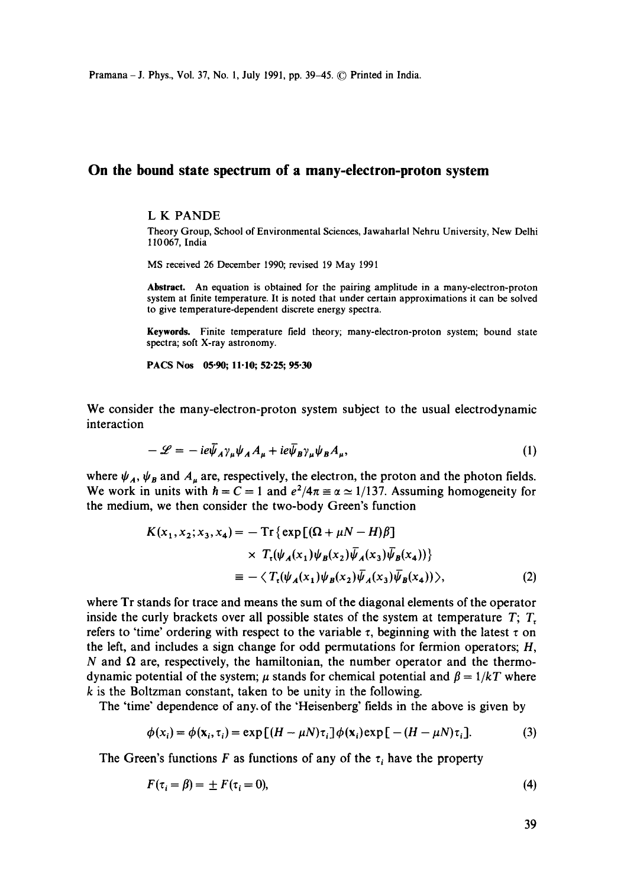Pramana - J. Phys., Vol. 37, No. 1, July 1991, pp. 39-45. © Printed in India.

## **On the bound state spectrum of a many-electron-proton system**

## L K PANDE

Theory Group, School of Environmental Sciences, Jawaharlal Nehru University, New Delhi 110067, India

MS received 26 December 1990; revised 19 May 1991

Abstract. An equation is obtained for the pairing amplitude in a many-electron-proton system at finite temperature. It is noted that under certain approximations it can be solved to give temperature-dependent discrete energy spectra.

Keywords. Finite temperature field theory; many-electron-proton system; bound state spectra; soft X-ray astronomy.

PACS Nos 05.90; 11.10; 52.25; 95.30

We consider the many-electron-proton system subject to the usual electrodynamic interaction

$$
-\mathscr{L} = -ie\bar{\psi}_A\gamma_\mu\psi_A A_\mu + ie\bar{\psi}_B\gamma_\mu\psi_B A_\mu, \tag{1}
$$

where  $\psi_A$ ,  $\psi_B$  and  $A_\mu$  are, respectively, the electron, the proton and the photon fields. We work in units with  $h = C = 1$  and  $e^2/4\pi \equiv \alpha \approx 1/137$ . Assuming homogeneity for the medium, we then consider the two-body Green's function

$$
K(x_1, x_2; x_3, x_4) = -\operatorname{Tr}\left\{\exp\left[(\Omega + \mu N - H)\beta\right]\right.\times T_t(\psi_A(x_1)\psi_B(x_2)\overline{\psi}_A(x_3)\overline{\psi}_B(x_4))\right\}\equiv -\langle T_t(\psi_A(x_1)\psi_B(x_2)\overline{\psi}_A(x_3)\overline{\psi}_B(x_4))\rangle,
$$
\n(2)

where Tr stands for trace and means the sum of the diagonal elements of the operator inside the curly brackets over all possible states of the system at temperature  $T$ ;  $T$ , refers to 'time' ordering with respect to the variable  $\tau$ , beginning with the latest  $\tau$  on the left, and includes a sign change for odd permutations for fermion operators; H, N and  $\Omega$  are, respectively, the hamiltonian, the number operator and the thermodynamic potential of the system;  $\mu$  stands for chemical potential and  $\beta = 1/kT$  where k is the Boltzman constant, taken to be unity in the following.

The 'time" dependence of any. of the 'Heisenberg' fields in the above is given by

$$
\phi(x_i) = \phi(\mathbf{x}_i, \tau_i) = \exp\left[(H - \mu N)\tau_i\right]\phi(\mathbf{x}_i)\exp\left[-(H - \mu N)\tau_i\right].\tag{3}
$$

The Green's functions F as functions of any of the  $\tau_i$  have the property

$$
F(\tau_i = \beta) = \pm F(\tau_i = 0),\tag{4}
$$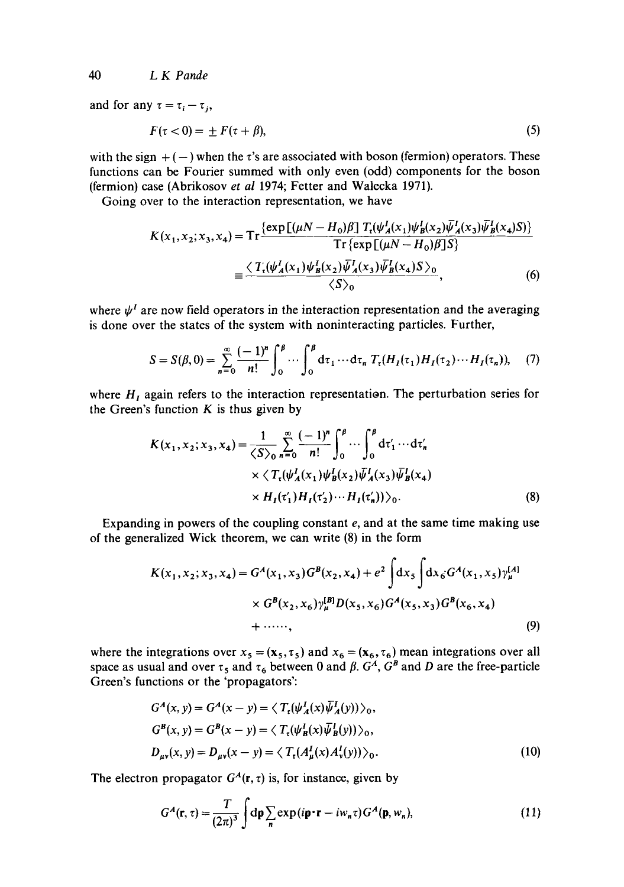40 *L K Pande* 

and for any  $\tau = \tau_i - \tau_j$ ,

$$
F(\tau < 0) = \pm F(\tau + \beta),\tag{5}
$$

with the sign  $+ (-)$  when the  $\tau$ 's are associated with boson (fermion) operators. These functions can be Fourier summed with only even (odd) components for the boson (fermion) case (Abrikosov *et al* 1974; Fetter and Walecka 1971).

Going over to the interaction representation, we have

$$
K(x_1, x_2; x_3, x_4) = \text{Tr} \frac{\{\exp[(\mu N - H_0)\beta] T_t(\psi_A^I(x_1)\psi_B^I(x_2)\overline{\psi}_A^I(x_3)\overline{\psi}_B^I(x_4)S)\}}{\text{Tr}\{\exp[(\mu N - H_0)\beta]S\}}
$$
  

$$
= \frac{\langle T_t(\psi_A^I(x_1)\psi_B^I(x_2)\overline{\psi}_A^I(x_3)\overline{\psi}_B^I(x_4)S\rangle_0}{\langle S\rangle_0},
$$
 (6)

where  $\psi^I$  are now field operators in the interaction representation and the averaging is done over the states of the system with noninteracting particles. Further,

$$
S = S(\beta, 0) = \sum_{n=0}^{\infty} \frac{(-1)^n}{n!} \int_0^{\beta} \cdots \int_0^{\beta} d\tau_1 \cdots d\tau_n T_{\tau}(H_I(\tau_1) H_I(\tau_2) \cdots H_I(\tau_n)), \quad (7)
$$

where  $H<sub>I</sub>$  again refers to the interaction representation. The perturbation series for the Green's function  $K$  is thus given by

$$
K(x_1, x_2; x_3, x_4) = {1 \over \langle S \rangle_0} \sum_{n=0}^{\infty} {(-1)^n \over n!} \int_0^{\beta} \cdots \int_0^{\beta} d\tau'_1 \cdots d\tau'_n
$$
  
 
$$
\times \langle T_t(\psi'_A(x_1)\psi'_B(x_2))\overline{\psi}'_A(x_3)\overline{\psi}'_B(x_4)
$$
  
 
$$
\times H_I(\tau'_1)H_I(\tau'_2) \cdots H_I(\tau'_n)\rangle_0.
$$
 (8)

Expanding in powers of the coupling constant  $e$ , and at the same time making use of the generalized Wick theorem, we can write (8) in the form

$$
K(x_1, x_2; x_3, x_4) = G^A(x_1, x_3)G^B(x_2, x_4) + e^2 \int dx_5 \int dx_6 G^A(x_1, x_5) \gamma_{\mu}^{[A]} \times G^B(x_2, x_6) \gamma_{\mu}^{[B]} D(x_5, x_6) G^A(x_5, x_3) G^B(x_6, x_4)
$$
  
+ ......, (9)

where the integrations over  $x_5 = (\mathbf{x}_5, \tau_5)$  and  $x_6 = (\mathbf{x}_6, \tau_6)$  mean integrations over all space as usual and over  $\tau_5$  and  $\tau_6$  between 0 and  $\beta$ .  $G^A$ ,  $G^B$  and D are the free-particle Green's functions or the 'propagators':

$$
G^{A}(x, y) = G^{A}(x - y) = \langle T_{t}(\psi_{A}^{I}(x)\overline{\psi}_{A}^{I}(y)) \rangle_{0},
$$
  
\n
$$
G^{B}(x, y) = G^{B}(x - y) = \langle T_{t}(\psi_{B}^{I}(x)\overline{\psi}_{B}^{I}(y)) \rangle_{0},
$$
  
\n
$$
D_{\mu\nu}(x, y) = D_{\mu\nu}(x - y) = \langle T_{t}(A_{\mu}^{I}(x)A_{\nu}^{I}(y)) \rangle_{0}.
$$
\n(10)

The electron propagator  $G<sup>A</sup>(r, \tau)$  is, for instance, given by

$$
G^{A}(\mathbf{r},\tau) = \frac{T}{(2\pi)^{3}} \int d\mathbf{p} \sum_{n} \exp(i\mathbf{p} \cdot \mathbf{r} - i w_{n} \tau) G^{A}(\mathbf{p}, w_{n}),
$$
 (11)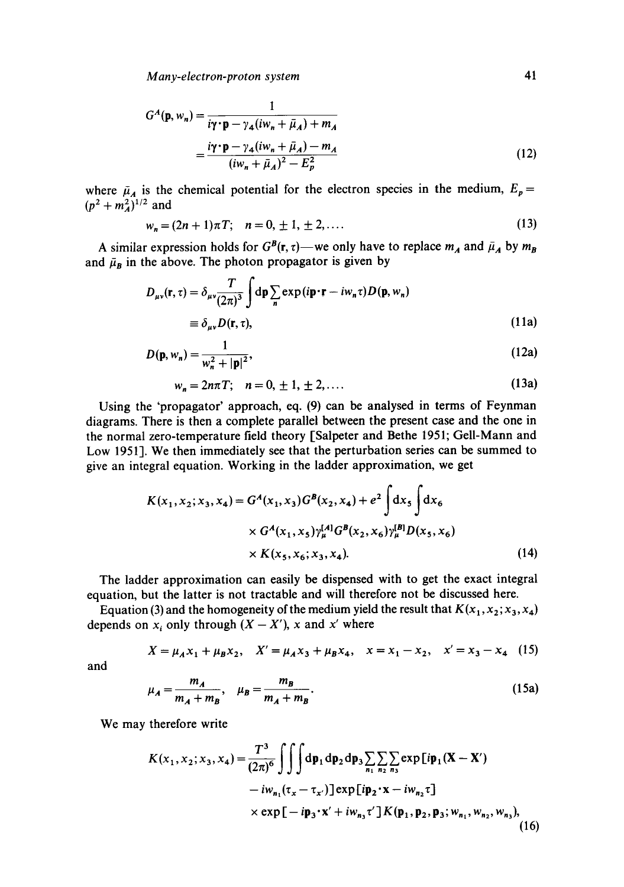*Many-electron-proton system* 41

$$
G^{A}(\mathbf{p}, w_{n}) = \frac{1}{i\gamma \cdot \mathbf{p} - \gamma_{4}(iw_{n} + \bar{\mu}_{A}) + m_{A}}
$$

$$
= \frac{i\gamma \cdot \mathbf{p} - \gamma_{4}(iw_{n} + \bar{\mu}_{A}) - m_{A}}{(iw_{n} + \bar{\mu}_{A})^{2} - E_{p}^{2}}
$$
(12)

where  $\bar{\mu}_A$  is the chemical potential for the electron species in the medium,  $E_p =$  $(p^2 + m_A^2)^{1/2}$  and

$$
w_n = (2n+1)\pi T; \quad n = 0, \pm 1, \pm 2, \dots \tag{13}
$$

A similar expression holds for  $G^B(r, \tau)$ —we only have to replace  $m_A$  and  $\bar{\mu}_A$  by  $m_B$ and  $\bar{\mu}_B$  in the above. The photon propagator is given by

$$
D_{\mu\nu}(\mathbf{r}, \tau) = \delta_{\mu\nu} \frac{T}{(2\pi)^3} \int d\mathbf{p} \sum_{n} \exp(i\mathbf{p} \cdot \mathbf{r} - i w_n \tau) D(\mathbf{p}, w_n)
$$
  
\n
$$
\equiv \delta_{\mu\nu} D(\mathbf{r}, \tau),
$$
\n(11a)

$$
D(\mathbf{p}, w_n) = \frac{1}{w_n^2 + |\mathbf{p}|^2},
$$
\n(12a)

$$
w_n = 2n\pi T; \quad n = 0, \pm 1, \pm 2, \dots \tag{13a}
$$

Using the 'propagator' approach, eq. (9) can be analysed in terms of Feynman diagrams. There is then a complete parallel between the present case and the one in the normal zero-temperature field theory [Salpeter and Bethe 1951; Gell-Mann and Low 1951]. We then immediately see that the perturbation series can be summed to give an integral equation. Working in the ladder approximation, we get

$$
K(x_1, x_2; x_3, x_4) = G^A(x_1, x_3)G^B(x_2, x_4) + e^2 \int dx_5 \int dx_6
$$
  
×  $G^A(x_1, x_5) \gamma_{\mu}^{[A]} G^B(x_2, x_6) \gamma_{\mu}^{[B]} D(x_5, x_6)$   
×  $K(x_5, x_6; x_3, x_4)$ . (14)

The ladder approximation can easily be dispensed with to get the exact integral equation, but the latter is not tractable and will therefore not be discussed here.

Equation (3) and the homogeneity of the medium yield the result that  $K(x_1, x_2; x_3, x_4)$ depends on  $x_i$  only through  $(X - X')$ , x and x' where

$$
X = \mu_A x_1 + \mu_B x_2, \quad X' = \mu_A x_3 + \mu_B x_4, \quad x = x_1 - x_2, \quad x' = x_3 - x_4 \tag{15}
$$

and

$$
\mu_A = \frac{m_A}{m_A + m_B}, \quad \mu_B = \frac{m_B}{m_A + m_B}.
$$
\n(15a)

We may therefore write

$$
K(x_1, x_2; x_3, x_4) = \frac{T^3}{(2\pi)^6} \iiint \mathrm{dp}_1 \, \mathrm{dp}_2 \, \mathrm{dp}_3 \sum_{n_1} \sum_{n_2} \sum_{n_3} \exp[i\mathbf{p}_1(\mathbf{X} - \mathbf{X}')] - i w_{n_1} (\tau_x - \tau_{x'}) \, ] \exp[i\mathbf{p}_2 \cdot \mathbf{x} - i w_{n_2} \tau] \times \exp[-i\mathbf{p}_3 \cdot \mathbf{x}' + i w_{n_3} \tau'] K(\mathbf{p}_1, \mathbf{p}_2, \mathbf{p}_3; w_{n_1}, w_{n_2}, w_{n_3}), \tag{16}
$$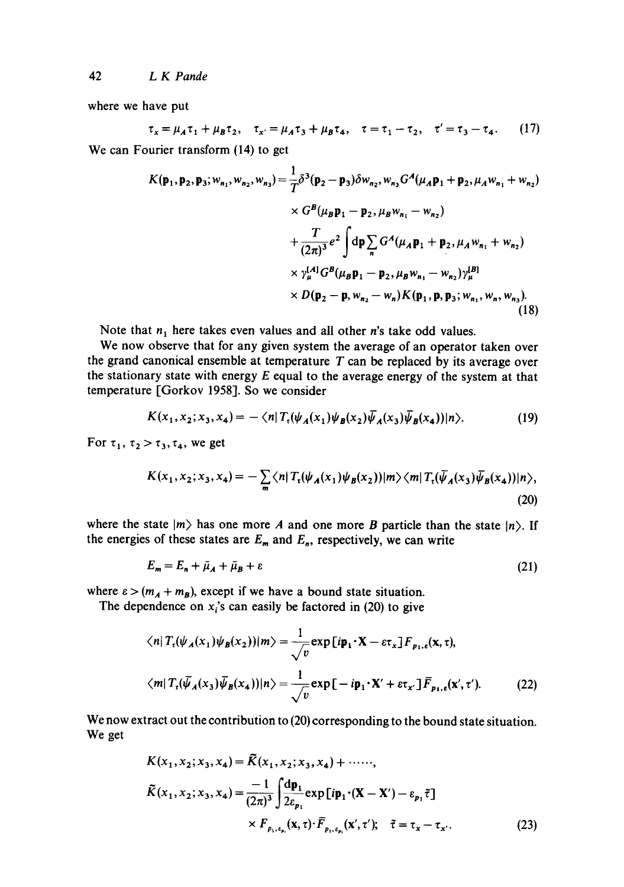where we have put

$$
\tau_x = \mu_A \tau_1 + \mu_B \tau_2, \quad \tau_{x'} = \mu_A \tau_3 + \mu_B \tau_4, \quad \tau = \tau_1 - \tau_2, \quad \tau' = \tau_3 - \tau_4. \tag{17}
$$

We can Fourier transform (14) to get

$$
K(\mathbf{p}_1, \mathbf{p}_2, \mathbf{p}_3; w_{n_1}, w_{n_2}, w_{n_3}) = \frac{1}{T} \delta^3(\mathbf{p}_2 - \mathbf{p}_3) \delta w_{n_2}, w_{n_3} G^A(\mu_A \mathbf{p}_1 + \mathbf{p}_2, \mu_A w_{n_1} + w_{n_2})
$$
  
\n
$$
\times G^B(\mu_B \mathbf{p}_1 - \mathbf{p}_2, \mu_B w_{n_1} - w_{n_2})
$$
  
\n
$$
+ \frac{T}{(2\pi)^3} e^2 \int d\mathbf{p} \sum_n G^A(\mu_A \mathbf{p}_1 + \mathbf{p}_2, \mu_A w_{n_1} + w_{n_2})
$$
  
\n
$$
\times \gamma_{\mu}^{(A)} G^B(\mu_B \mathbf{p}_1 - \mathbf{p}_2, \mu_B w_{n_1} - w_{n_2}) \gamma_{\mu}^{(B)}
$$
  
\n
$$
\times D(\mathbf{p}_2 - \mathbf{p}, w_{n_2} - w_n) K(\mathbf{p}_1, \mathbf{p}, \mathbf{p}_3; w_{n_1}, w_n, w_{n_3}).
$$
\n(18)

Note that  $n_1$  here takes even values and all other *n*'s take odd values.

We now observe that for any given system the average of an operator taken over the grand canonical ensemble at temperature  $T$  can be replaced by its average over the stationary state with energy  $E$  equal to the average energy of the system at that temperature [Gorkov 1958]. So we consider

$$
K(x_1, x_2; x_3, x_4) = -\langle n | T_{\tau}(\psi_A(x_1)\psi_B(x_2))\overline{\psi}_A(x_3)\overline{\psi}_B(x_4) | n \rangle. \tag{19}
$$

For  $\tau_1$ ,  $\tau_2 > \tau_3$ ,  $\tau_4$ , we get

$$
K(x_1, x_2; x_3, x_4) = -\sum_{m} \langle n | T_{\mathfrak{r}}(\psi_A(x_1)\psi_B(x_2))|m\rangle \langle m | T_{\mathfrak{r}}(\bar{\psi}_A(x_3)\bar{\psi}_B(x_4))|n\rangle, \tag{20}
$$

where the state  $|m\rangle$  has one more A and one more B particle than the state  $|n\rangle$ . If the energies of these states are  $E_m$  and  $E_n$ , respectively, we can write

$$
E_m = E_n + \bar{\mu}_A + \bar{\mu}_B + \varepsilon \tag{21}
$$

where  $\varepsilon > (m_A + m_B)$ , except if we have a bound state situation.

The dependence on  $x_i$ 's can easily be factored in (20) to give

$$
\langle n | T_{\epsilon}(\psi_A(x_1)\psi_B(x_2))|m\rangle = \frac{1}{\sqrt{v}} \exp[i\mathbf{p}_1 \cdot \mathbf{X} - \varepsilon \tau_x] F_{p_1,\epsilon}(\mathbf{x},\tau),
$$
  

$$
\langle m | T_{\epsilon}(\bar{\psi}_A(x_3)\bar{\psi}_B(x_4))|n\rangle = \frac{1}{\sqrt{v}} \exp[-i\mathbf{p}_1 \cdot \mathbf{X}' + \varepsilon \tau_{x'}] \bar{F}_{p_1,\epsilon}(\mathbf{x}',\tau').
$$
 (22)

We now extract out the contribution to (20) corresponding to the bound state situation. We get

$$
K(x_1, x_2; x_3, x_4) = \tilde{K}(x_1, x_2; x_3, x_4) + \cdots, \n\tilde{K}(x_1, x_2; x_3, x_4) = \frac{-1}{(2\pi)^3} \int \frac{d\mathbf{p}_1}{2\varepsilon_{p_1}} \exp[i\mathbf{p}_1 \cdot (\mathbf{X} - \mathbf{X}') - \varepsilon_{p_1}\tilde{\tau}] \n\times F_{p_1, \varepsilon_{p_1}}(\mathbf{x}, \tau) \cdot \overline{F}_{p_1, \varepsilon_{p_1}}(\mathbf{x}', \tau'); \quad \tilde{\tau} = \tau_x - \tau_{x'}.
$$
\n(23)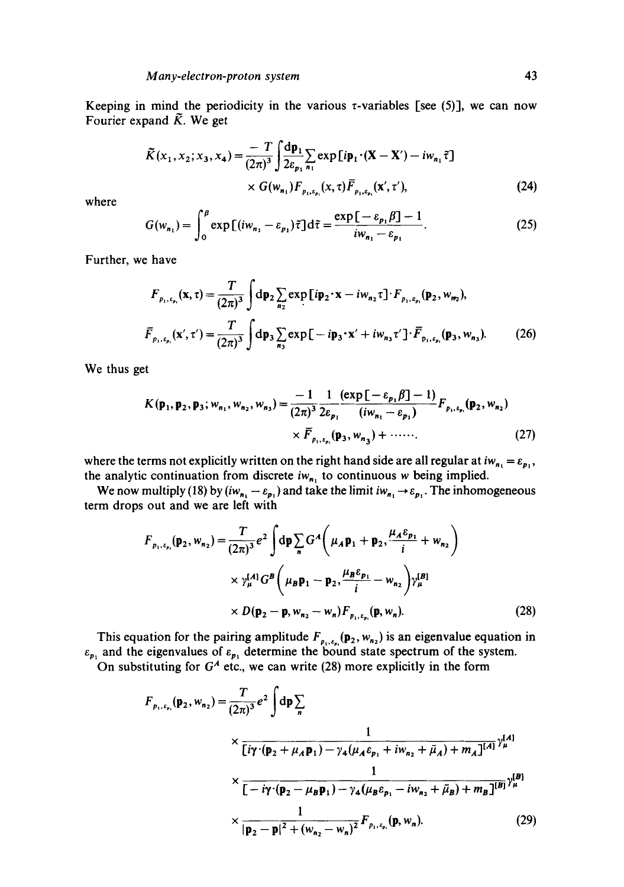Keeping in mind the periodicity in the various  $\tau$ -variables [see (5)], we can now Fourier expand  $\tilde{K}$ . We get

$$
\tilde{K}(x_1, x_2; x_3, x_4) = \frac{-T}{(2\pi)^3} \int \frac{d\mathbf{p}_1}{2\varepsilon_{p_1}} \sum_{n_1} \exp[i\mathbf{p}_1 \cdot (\mathbf{X} - \mathbf{X}') - i w_{n_1} \tilde{\tau}]
$$
\n
$$
\times G(w_{n_1}) F_{p_1, \varepsilon_{p_1}}(x, \tau) \overline{F}_{p_1, \varepsilon_{p_1}}(\mathbf{x}', \tau'), \tag{24}
$$

where

$$
G(w_{n_1}) = \int_0^\beta \exp\left[(iw_{n_1} - \varepsilon_{p_1})\tilde{\tau}\right]d\tilde{\tau} = \frac{\exp\left[-\varepsilon_{p_1}\beta\right] - 1}{iw_{n_1} - \varepsilon_{p_1}}.\tag{25}
$$

Further, we have

$$
F_{p_1, \varepsilon_{p_1}}(\mathbf{x}, \tau) = \frac{T}{(2\pi)^3} \int d\mathbf{p}_2 \sum_{n_2} \exp[i\mathbf{p}_2 \cdot \mathbf{x} - i w_{n_2} \tau] \cdot F_{p_1, \varepsilon_{p_1}}(\mathbf{p}_2, w_{n_2}),
$$
  

$$
\bar{F}_{p_1, \varepsilon_{p_1}}(\mathbf{x}', \tau') = \frac{T}{(2\pi)^3} \int d\mathbf{p}_3 \sum_{n_3} \exp[-ip_3 \cdot \mathbf{x}' + iw_{n_3} \tau'] \cdot \bar{F}_{p_1, \varepsilon_{p_1}}(\mathbf{p}_3, w_{n_3}).
$$
 (26)

We thus get

$$
K(\mathbf{p}_1, \mathbf{p}_2, \mathbf{p}_3; w_{n_1}, w_{n_2}, w_{n_3}) = \frac{-1}{(2\pi)^3} \frac{1}{2\varepsilon_{p_1}} \frac{(\exp[-\varepsilon_{p_1}\beta] - 1)}{(iw_{n_1} - \varepsilon_{p_1})} F_{p_1, \varepsilon_{p_1}}(\mathbf{p}_2, w_{n_2})
$$
  
 
$$
\times \overline{F}_{p_1, \varepsilon_{p_1}}(\mathbf{p}_3, w_{n_3}) + \cdots \qquad (27)
$$

where the terms not explicitly written on the right hand side are all regular at  $iw_{n_1} = \varepsilon_{p_1}$ , the analytic continuation from discrete  $iw_{n_1}$  to continuous w being implied.

We now multiply (18) by  $(iw_{n_1} - \varepsilon_{p_1})$  and take the limit  $iw_{n_1} \to \varepsilon_{p_1}$ . The inhomogeneous term drops out and we are left with

$$
F_{p_1, \varepsilon_{p_1}}(\mathbf{p}_2, w_{n_2}) = \frac{T}{(2\pi)^3} e^2 \int d\mathbf{p} \sum_n G^A \left( \mu_A \mathbf{p}_1 + \mathbf{p}_2, \frac{\mu_A \varepsilon_{p_1}}{i} + w_{n_2} \right)
$$
  
 
$$
\times \gamma_{\mu}^{[A]} G^B \left( \mu_B \mathbf{p}_1 - \mathbf{p}_2, \frac{\mu_B \varepsilon_{p_1}}{i} - w_{n_2} \right) \gamma_{\mu}^{[B]}
$$
  
 
$$
\times D(\mathbf{p}_2 - \mathbf{p}, w_{n_2} - w_n) F_{p_1, \varepsilon_{p_1}}(\mathbf{p}, w_n).
$$
 (28)

This equation for the pairing amplitude  $F_{n_1,\ell_1}(\mathbf{p}_2, w_{n_2})$  is an eigenvalue equation in  $\varepsilon_{p_1}$  and the eigenvalues of  $\varepsilon_{p_1}$  determine the bound state spectrum of the system.

On substituting for  $G<sup>A</sup>$  etc., we can write (28) more explicitly in the form

$$
F_{p_1,\varepsilon_{p_1}}(\mathbf{p}_2, w_{n_2}) = \frac{T}{(2\pi)^3} e^2 \int d\mathbf{p} \sum_{n}
$$
  
 
$$
\times \frac{1}{[\dot{\mathbf{i}}\gamma \cdot (\mathbf{p}_2 + \mu_A \mathbf{p}_1) - \gamma_4 (\mu_A \varepsilon_{p_1} + \dot{\mathbf{i}}w_{n_2} + \bar{\mu}_A) + m_A]^{[A]}} \gamma_{\mu}^{[A]}
$$
  
 
$$
\times \frac{1}{[-\dot{\mathbf{i}}\gamma \cdot (\mathbf{p}_2 - \mu_B \mathbf{p}_1) - \gamma_4 (\mu_B \varepsilon_{p_1} - \dot{\mathbf{i}}w_{n_2} + \bar{\mu}_B) + m_B]^{[B]}} \gamma_{\mu}^{[B]}
$$
  
 
$$
\times \frac{1}{|\mathbf{p}_2 - \mathbf{p}|^2 + (w_{n_2} - w_n)^2} F_{p_1, \varepsilon_{p_1}}(\mathbf{p}, w_n). \tag{29}
$$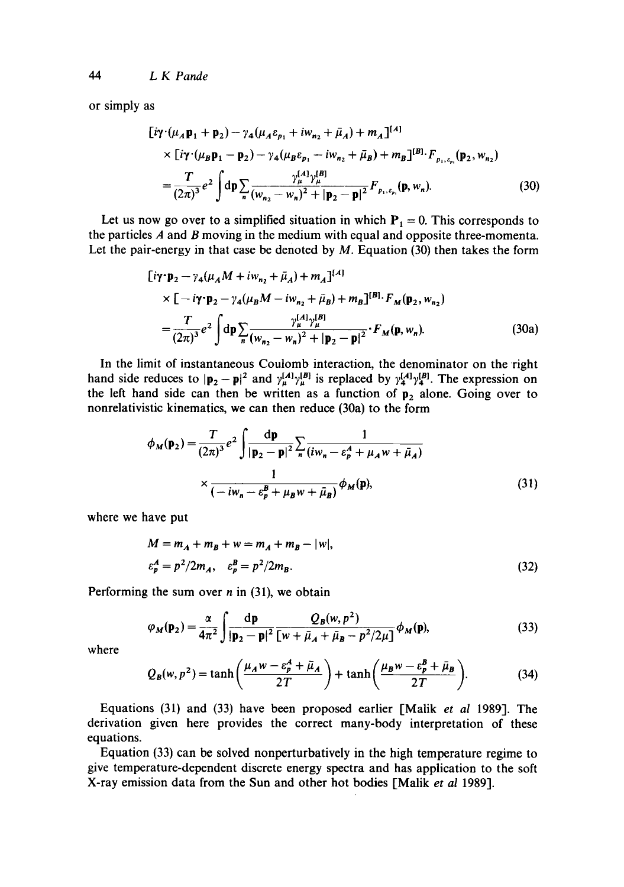44 *L K Pande* 

or simply as

$$
\begin{split} \left[ i\gamma \cdot (\mu_A \mathbf{p}_1 + \mathbf{p}_2) - \gamma_4 (\mu_A \varepsilon_{p_1} + i w_{n_2} + \bar{\mu}_A) + m_A \right]^{[A]} \\ &\times \left[ i\gamma \cdot (\mu_B \mathbf{p}_1 - \mathbf{p}_2) - \gamma_4 (\mu_B \varepsilon_{p_1} - i w_{n_2} + \bar{\mu}_B) + m_B \right]^{[B]} \cdot F_{p_1, \varepsilon_{p_1}}(\mathbf{p}_2, w_{n_2}) \\ &= \frac{T}{(2\pi)^3} e^2 \int d\mathbf{p} \sum_n \frac{\gamma_\mu^{[A]} \gamma_\mu^{[B]}}{(w_{n_2} - w_n)^2 + |\mathbf{p}_2 - \mathbf{p}|^2} F_{p_1, \varepsilon_{p_1}}(\mathbf{p}, w_n). \end{split} \tag{30}
$$

Let us now go over to a simplified situation in which  $P_1 = 0$ . This corresponds to the particles A and B moving in the medium with equal and opposite three-momenta. Let the pair-energy in that case be denoted by  $M$ . Equation (30) then takes the form

$$
[i\gamma \cdot \mathbf{p}_2 - \gamma_4(\mu_A M + i w_{n_2} + \bar{\mu}_A) + m_A]^{[A]}
$$
  
 
$$
\times [-i\gamma \cdot \mathbf{p}_2 - \gamma_4(\mu_B M - i w_{n_2} + \bar{\mu}_B) + m_B]^{[B]} \cdot F_M(\mathbf{p}_2, w_{n_2})
$$
  

$$
= \frac{T}{(2\pi)^3} e^2 \int d\mathbf{p} \sum_n \frac{\gamma_{\mu}^{[A]}\gamma_{\mu}^{[B]}}{(w_{n_2} - w_n)^2 + |\mathbf{p}_2 - \mathbf{p}|^2} \cdot F_M(\mathbf{p}, w_n).
$$
 (30a)

In the limit of instantaneous Coulomb interaction, the denominator on the right hand side reduces to  $|\mathbf{p}_2 - \mathbf{p}|^2$  and  $\gamma_{\mu}^{[H_1]} \gamma_{\mu}^{[H_2]}$  is replaced by  $\gamma_{\mu}^{[A_1]} \gamma_{\mu}^{[B]}$ . The expression on the left hand side can then be written as a function of  $p_2$  alone. Going over to nonrelativistic kinematics, we can then reduce (30a) to the form

$$
\phi_M(\mathbf{p}_2) = \frac{T}{(2\pi)^3} e^2 \int \frac{\mathrm{d}\mathbf{p}}{|\mathbf{p}_2 - \mathbf{p}|^2} \sum_n \frac{1}{(iw_n - \varepsilon_p^A + \mu_A w + \bar{\mu}_A)}
$$
  
 
$$
\times \frac{1}{(-iw_n - \varepsilon_p^B + \mu_B w + \bar{\mu}_B)} \phi_M(\mathbf{p}), \tag{31}
$$

where we have put

$$
M = m_A + m_B + w = m_A + m_B - |w|,
$$
  
\n
$$
\varepsilon_p^A = p^2 / 2m_A, \quad \varepsilon_p^B = p^2 / 2m_B.
$$
\n(32)

Performing the sum over  $n$  in (31), we obtain

$$
\varphi_M(\mathbf{p}_2) = \frac{\alpha}{4\pi^2} \int \frac{\mathrm{d}\mathbf{p}}{|\mathbf{p}_2 - \mathbf{p}|^2} \frac{Q_B(w, p^2)}{[w + \bar{\mu}_A + \bar{\mu}_B - p^2/2\mu]} \phi_M(\mathbf{p}),\tag{33}
$$

where

$$
Q_B(w, p^2) = \tanh\left(\frac{\mu_A w - \varepsilon_p^A + \bar{\mu}_A}{2T}\right) + \tanh\left(\frac{\mu_B w - \varepsilon_p^B + \bar{\mu}_B}{2T}\right).
$$
 (34)

Equations (31) and (33) have been proposed earlier [Malik *et al* 1989]. The derivation given here provides the correct many-body interpretation of these equations.

Equation (33) can be solved nonperturbatively in the high temperature regime to give temperature-dependent discrete energy spectra and has application to the soft X-ray emission data from the Sun and other hot bodies [Malik *et al* 1989].